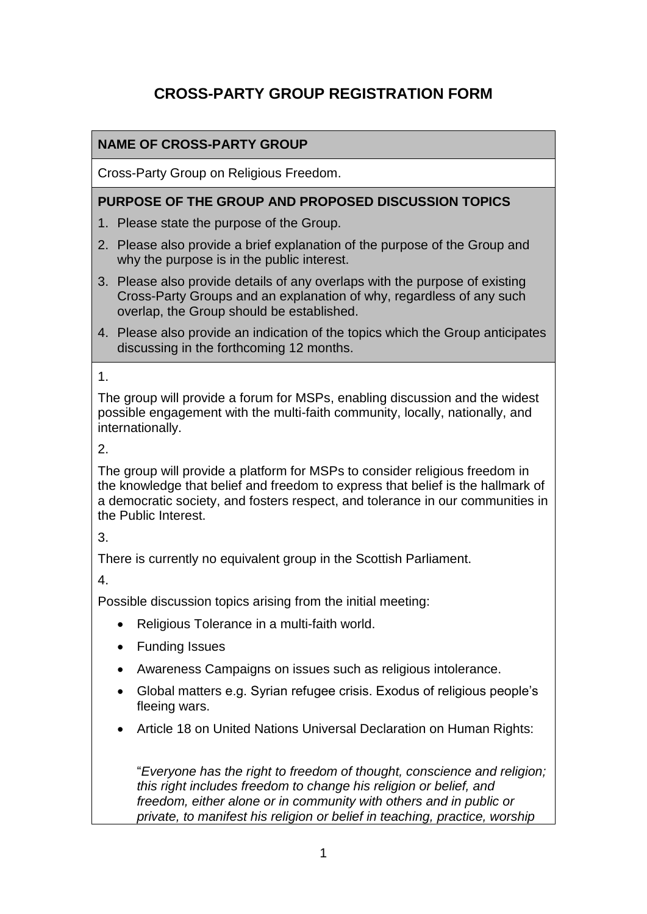# **CROSS-PARTY GROUP REGISTRATION FORM**

# **NAME OF CROSS-PARTY GROUP**

Cross-Party Group on Religious Freedom.

### **PURPOSE OF THE GROUP AND PROPOSED DISCUSSION TOPICS**

- 1. Please state the purpose of the Group.
- 2. Please also provide a brief explanation of the purpose of the Group and why the purpose is in the public interest.
- 3. Please also provide details of any overlaps with the purpose of existing Cross-Party Groups and an explanation of why, regardless of any such overlap, the Group should be established.
- 4. Please also provide an indication of the topics which the Group anticipates discussing in the forthcoming 12 months.

1.

The group will provide a forum for MSPs, enabling discussion and the widest possible engagement with the multi-faith community, locally, nationally, and internationally.

2.

The group will provide a platform for MSPs to consider religious freedom in the knowledge that belief and freedom to express that belief is the hallmark of a democratic society, and fosters respect, and tolerance in our communities in the Public Interest.

3.

There is currently no equivalent group in the Scottish Parliament.

4.

Possible discussion topics arising from the initial meeting:

- Religious Tolerance in a multi-faith world.
- Funding Issues
- Awareness Campaigns on issues such as religious intolerance.
- Global matters e.g. Syrian refugee crisis. Exodus of religious people's fleeing wars.
- Article 18 on United Nations Universal Declaration on Human Rights:

"*Everyone has the right to freedom of thought, conscience and religion; this right includes freedom to change his religion or belief, and freedom, either alone or in community with others and in public or private, to manifest his religion or belief in teaching, practice, worship*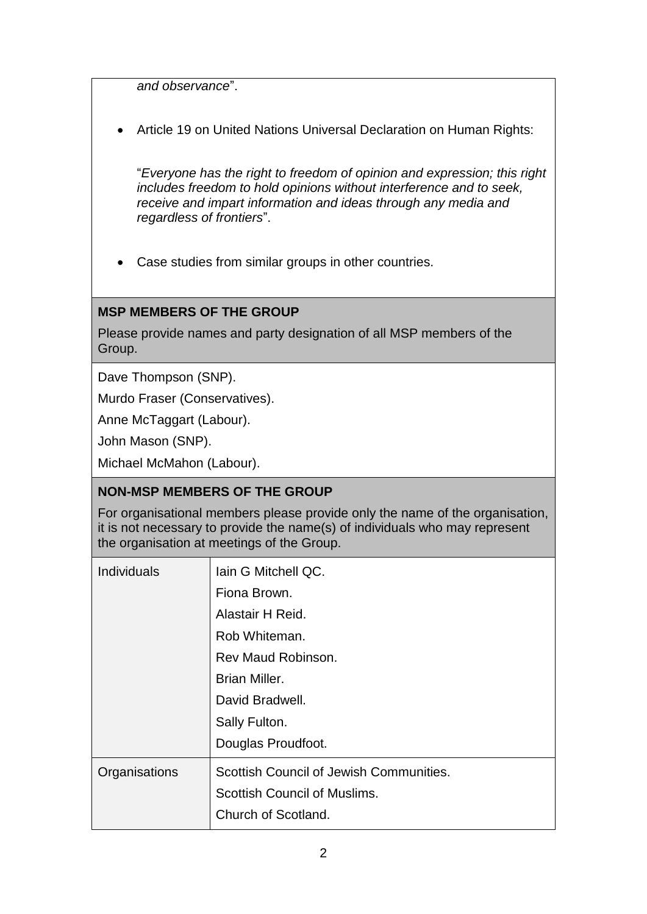*and observance*".

Article 19 on United Nations Universal Declaration on Human Rights:

"*Everyone has the right to freedom of opinion and expression; this right includes freedom to hold opinions without interference and to seek, receive and impart information and ideas through any media and regardless of frontiers*".

Case studies from similar groups in other countries.

#### **MSP MEMBERS OF THE GROUP**

Please provide names and party designation of all MSP members of the Group.

Dave Thompson (SNP).

Murdo Fraser (Conservatives).

Anne McTaggart (Labour).

John Mason (SNP).

Michael McMahon (Labour).

## **NON-MSP MEMBERS OF THE GROUP**

For organisational members please provide only the name of the organisation, it is not necessary to provide the name(s) of individuals who may represent the organisation at meetings of the Group.

| <b>Individuals</b> | lain G Mitchell QC.                     |
|--------------------|-----------------------------------------|
|                    | Fiona Brown.                            |
|                    | Alastair H Reid.                        |
|                    | Rob Whiteman.                           |
|                    | Rev Maud Robinson.                      |
|                    | Brian Miller.                           |
|                    | David Bradwell.                         |
|                    | Sally Fulton.                           |
|                    | Douglas Proudfoot.                      |
| Organisations      | Scottish Council of Jewish Communities. |
|                    | Scottish Council of Muslims.            |
|                    | Church of Scotland.                     |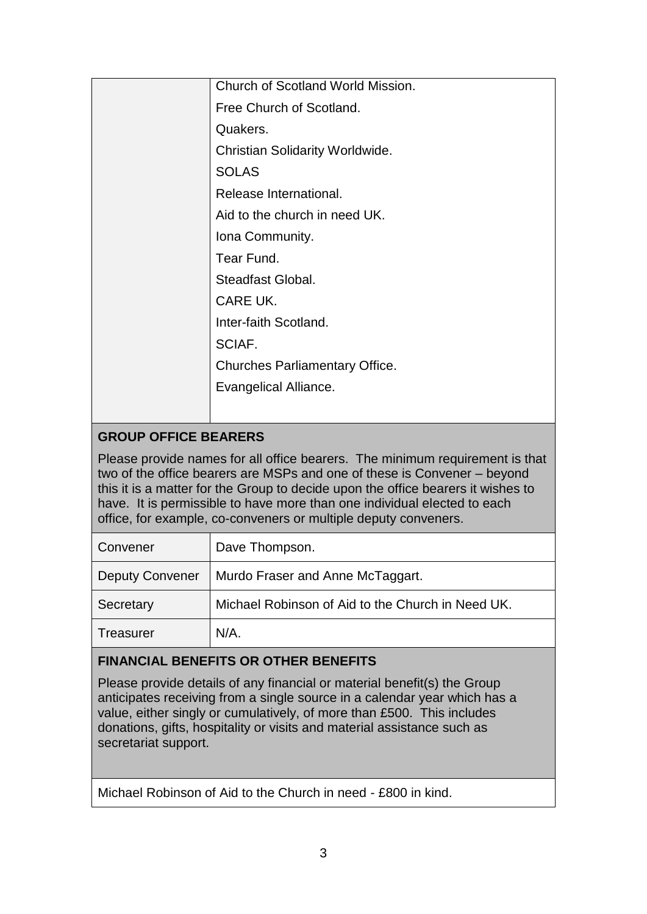| Church of Scotland World Mission.      |
|----------------------------------------|
| Free Church of Scotland.               |
| Quakers.                               |
| <b>Christian Solidarity Worldwide.</b> |
| <b>SOLAS</b>                           |
| Release International.                 |
| Aid to the church in need UK.          |
| Iona Community.                        |
| Tear Fund.                             |
| Steadfast Global.                      |
| CARE UK.                               |
| Inter-faith Scotland.                  |
| SCIAF.                                 |
| <b>Churches Parliamentary Office.</b>  |
| Evangelical Alliance.                  |
|                                        |

# **GROUP OFFICE BEARERS**

Please provide names for all office bearers. The minimum requirement is that two of the office bearers are MSPs and one of these is Convener – beyond this it is a matter for the Group to decide upon the office bearers it wishes to have. It is permissible to have more than one individual elected to each office, for example, co-conveners or multiple deputy conveners.

| Convener               | Dave Thompson.                                    |
|------------------------|---------------------------------------------------|
| <b>Deputy Convener</b> | Murdo Fraser and Anne McTaggart.                  |
| Secretary              | Michael Robinson of Aid to the Church in Need UK. |
| Treasurer              | $N/A$ .                                           |

## **FINANCIAL BENEFITS OR OTHER BENEFITS**

Please provide details of any financial or material benefit(s) the Group anticipates receiving from a single source in a calendar year which has a value, either singly or cumulatively, of more than £500. This includes donations, gifts, hospitality or visits and material assistance such as secretariat support.

Michael Robinson of Aid to the Church in need - £800 in kind.